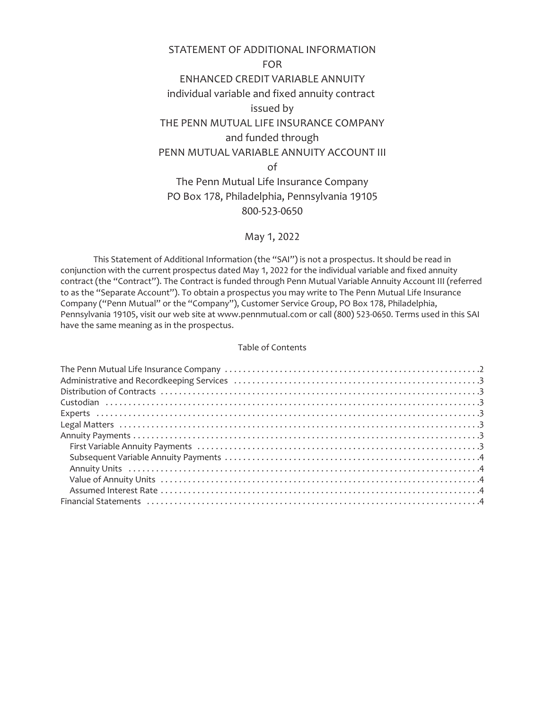# STATEMENT OF ADDITIONAL INFORMATION FOR ENHANCED CREDIT VARIABLE ANNUITY individual variable and fixed annuity contract issued by THE PENN MUTUAL LIFE INSURANCE COMPANY and funded through PENN MUTUAL VARIABLE ANNUITY ACCOUNT III of The Penn Mutual Life Insurance Company PO Box 178, Philadelphia, Pennsylvania 19105

# 800-523-0650

# May 1, 2022

This Statement of Additional Information (the "SAI") is not a prospectus. It should be read in conjunction with the current prospectus dated May 1, 2022 for the individual variable and fixed annuity contract (the "Contract"). The Contract is funded through Penn Mutual Variable Annuity Account III (referred to as the "Separate Account"). To obtain a prospectus you may write to The Penn Mutual Life Insurance Company ("Penn Mutual" or the "Company"), Customer Service Group, PO Box 178, Philadelphia, Pennsylvania 19105, visit our web site at www.pennmutual.com or call (800) 523-0650. Terms used in this SAI have the same meaning as in the prospectus.

# Table of Contents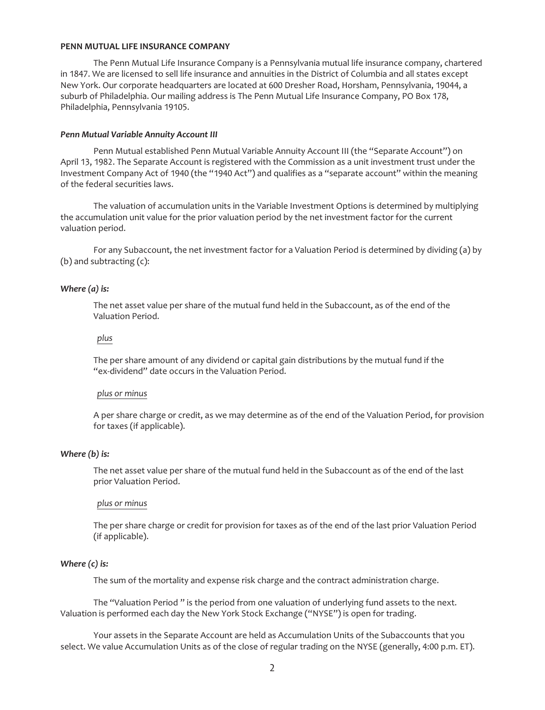### <span id="page-1-0"></span>**PENN MUTUAL LIFE INSURANCE COMPANY**

The Penn Mutual Life Insurance Company is a Pennsylvania mutual life insurance company, chartered in 1847. We are licensed to sell life insurance and annuities in the District of Columbia and all states except New York. Our corporate headquarters are located at 600 Dresher Road, Horsham, Pennsylvania, 19044, a suburb of Philadelphia. Our mailing address is The Penn Mutual Life Insurance Company, PO Box 178, Philadelphia, Pennsylvania 19105.

#### *Penn Mutual Variable Annuity Account III*

Penn Mutual established Penn Mutual Variable Annuity Account III (the "Separate Account") on April 13, 1982. The Separate Account is registered with the Commission as a unit investment trust under the Investment Company Act of 1940 (the "1940 Act") and qualifies as a "separate account" within the meaning of the federal securities laws.

The valuation of accumulation units in the Variable Investment Options is determined by multiplying the accumulation unit value for the prior valuation period by the net investment factor for the current valuation period.

For any Subaccount, the net investment factor for a Valuation Period is determined by dividing (a) by (b) and subtracting (c):

#### *Where (a) is:*

The net asset value per share of the mutual fund held in the Subaccount, as of the end of the Valuation Period.

# *plus*

The per share amount of any dividend or capital gain distributions by the mutual fund if the "ex-dividend" date occurs in the Valuation Period.

# *plus or minus*

A per share charge or credit, as we may determine as of the end of the Valuation Period, for provision for taxes (if applicable).

# *Where (b) is:*

The net asset value per share of the mutual fund held in the Subaccount as of the end of the last prior Valuation Period.

#### *plus or minus*

The per share charge or credit for provision for taxes as of the end of the last prior Valuation Period (if applicable).

## *Where (c) is:*

The sum of the mortality and expense risk charge and the contract administration charge.

The "Valuation Period " is the period from one valuation of underlying fund assets to the next. Valuation is performed each day the New York Stock Exchange ("NYSE") is open for trading.

Your assets in the Separate Account are held as Accumulation Units of the Subaccounts that you select. We value Accumulation Units as of the close of regular trading on the NYSE (generally, 4:00 p.m. ET).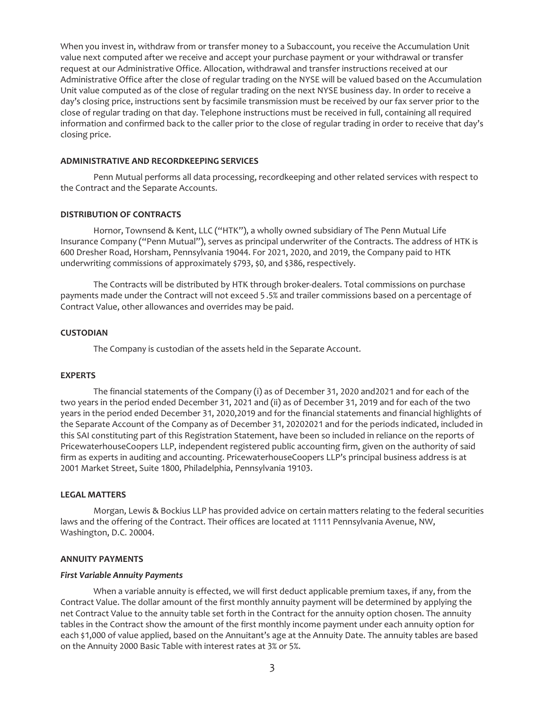When you invest in, withdraw from or transfer money to a Subaccount, you receive the Accumulation Unit value next computed after we receive and accept your purchase payment or your withdrawal or transfer request at our Administrative Office. Allocation, withdrawal and transfer instructions received at our Administrative Office after the close of regular trading on the NYSE will be valued based on the Accumulation Unit value computed as of the close of regular trading on the next NYSE business day. In order to receive a day's closing price, instructions sent by facsimile transmission must be received by our fax server prior to the close of regular trading on that day. Telephone instructions must be received in full, containing all required information and confirmed back to the caller prior to the close of regular trading in order to receive that day's closing price.

#### <span id="page-2-0"></span>**ADMINISTRATIVE AND RECORDKEEPING SERVICES**

<span id="page-2-1"></span>Penn Mutual performs all data processing, recordkeeping and other related services with respect to the Contract and the Separate Accounts.

## **DISTRIBUTION OF CONTRACTS**

Hornor, Townsend & Kent, LLC ("HTK"), a wholly owned subsidiary of The Penn Mutual Life Insurance Company ("Penn Mutual"), serves as principal underwriter of the Contracts. The address of HTK is 600 Dresher Road, Horsham, Pennsylvania 19044. For 2021, 2020, and 2019, the Company paid to HTK underwriting commissions of approximately \$793, \$0, and \$386, respectively.

The Contracts will be distributed by HTK through broker-dealers. Total commissions on purchase payments made under the Contract will not exceed 5 .5% and trailer commissions based on a percentage of Contract Value, other allowances and overrides may be paid.

## <span id="page-2-2"></span>**CUSTODIAN**

The Company is custodian of the assets held in the Separate Account.

#### <span id="page-2-3"></span>**EXPERTS**

The financial statements of the Company (i) as of December 31, 2020 and2021 and for each of the two years in the period ended December 31, 2021 and (ii) as of December 31, 2019 and for each of the two years in the period ended December 31, 2020,2019 and for the financial statements and financial highlights of the Separate Account of the Company as of December 31, 20202021 and for the periods indicated, included in this SAI constituting part of this Registration Statement, have been so included in reliance on the reports of PricewaterhouseCoopers LLP, independent registered public accounting firm, given on the authority of said firm as experts in auditing and accounting. PricewaterhouseCoopers LLP's principal business address is at 2001 Market Street, Suite 1800, Philadelphia, Pennsylvania 19103.

#### <span id="page-2-4"></span>**LEGAL MATTERS**

Morgan, Lewis & Bockius LLP has provided advice on certain matters relating to the federal securities laws and the offering of the Contract. Their offices are located at 1111 Pennsylvania Avenue, NW, Washington, D.C. 20004.

## <span id="page-2-6"></span><span id="page-2-5"></span>**ANNUITY PAYMENTS**

#### *First Variable Annuity Payments*

When a variable annuity is effected, we will first deduct applicable premium taxes, if any, from the Contract Value. The dollar amount of the first monthly annuity payment will be determined by applying the net Contract Value to the annuity table set forth in the Contract for the annuity option chosen. The annuity tables in the Contract show the amount of the first monthly income payment under each annuity option for each \$1,000 of value applied, based on the Annuitant's age at the Annuity Date. The annuity tables are based on the Annuity 2000 Basic Table with interest rates at 3% or 5%.